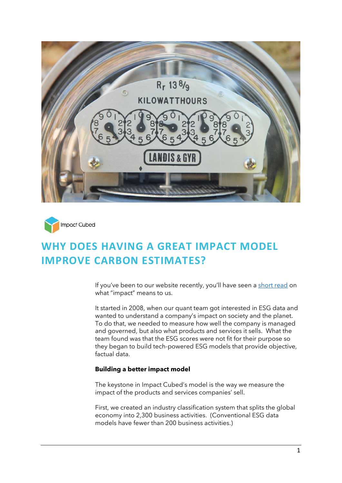



# **WHY DOES HAVING A GREAT IMPACT MODEL IMPROVE CARBON ESTIMATES?**

If you've been to our website recently, you'll have seen a [short read](https://www.impact-cubed.com/publication?file=What%20Impact%20Means%20to%20Us_Impact%20Cubed%20short%20read_12April%202022.pdf) on what "impact" means to us.

It started in 2008, when our quant team got interested in ESG data and wanted to understand a company's impact on society and the planet. To do that, we needed to measure how well the company is managed and governed, but also what products and services it sells. What the team found was that the ESG scores were not fit for their purpose so they began to build tech-powered ESG models that provide objective, factual data.

## **Building a better impact model**

The keystone in Impact Cubed's model is the way we measure the impact of the products and services companies' sell.

First, we created an industry classification system that splits the global economy into 2,300 business activities. (Conventional ESG data models have fewer than 200 business activities.)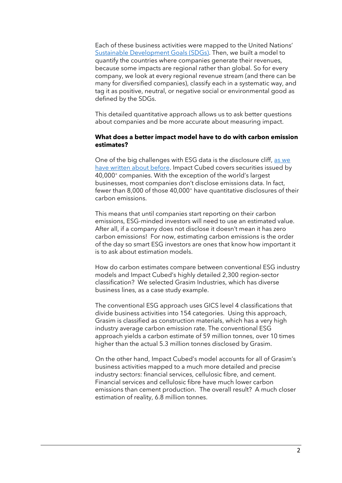Each of these business activities were mapped to the United Nations' [Sustainable Development Goals](https://sdgs.un.org/goals) (SDGs). Then, we built a model to quantify the countries where companies generate their revenues, because some impacts are regional rather than global. So for every company, we look at every regional revenue stream (and there can be many for diversified companies), classify each in a systematic way, and tag it as positive, neutral, or negative social or environmental good as defined by the SDGs.

This detailed quantitative approach allows us to ask better questions about companies and be more accurate about measuring impact.

#### **What does a better impact model have to do with carbon emission estimates?**

One of the big challenges with ESG data is the disclosure cliff, as we [have written about before.](https://www.impact-cubed.com/publication?file=Is%20ESG%20Data%20a%20Commodity%20_Impact%20Cubed%20Short%20Read_1%20Feb%202022.pdf) Impact Cubed covers securities issued by 40,000<sup>+</sup> companies. With the exception of the world's largest businesses, most companies don't disclose emissions data. In fact, fewer than 8,000 of those 40,000<sup>+</sup> have quantitative disclosures of their carbon emissions.

This means that until companies start reporting on their carbon emissions, ESG-minded investors will need to use an estimated value. After all, if a company does not disclose it doesn't mean it has zero carbon emissions! For now, estimating carbon emissions is the order of the day so smart ESG investors are ones that know how important it is to ask about estimation models.

How do carbon estimates compare between conventional ESG industry models and Impact Cubed's highly detailed 2,300 region-sector classification? We selected Grasim Industries, which has diverse business lines, as a case study example.

The conventional ESG approach uses GICS level 4 classifications that divide business activities into 154 categories. Using this approach, Grasim is classified as construction materials, which has a very high industry average carbon emission rate. The conventional ESG approach yields a carbon estimate of 59 million tonnes, over 10 times higher than the actual 5.3 million tonnes disclosed by Grasim.

On the other hand, Impact Cubed's model accounts for all of Grasim's business activities mapped to a much more detailed and precise industry sectors: financial services, cellulosic fibre, and cement. Financial services and cellulosic fibre have much lower carbon emissions than cement production. The overall result? A much closer estimation of reality, 6.8 million tonnes.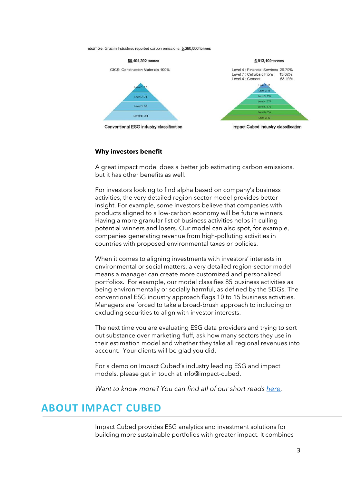Example: Grasim Industries reported carbon emissions: 5,260,000 tonnes



### **Why investors benefit**

A great impact model does a better job estimating carbon emissions, but it has other benefits as well.

For investors looking to find alpha based on company's business activities, the very detailed region-sector model provides better insight. For example, some investors believe that companies with products aligned to a low-carbon economy will be future winners. Having a more granular list of business activities helps in culling potential winners and losers. Our model can also spot, for example, companies generating revenue from high-polluting activities in countries with proposed environmental taxes or policies.

When it comes to aligning investments with investors' interests in environmental or social matters, a very detailed region-sector model means a manager can create more customized and personalized portfolios. For example, our model classifies 85 business activities as being environmentally or socially harmful, as defined by the SDGs. The conventional ESG industry approach flags 10 to 15 business activities. Managers are forced to take a broad-brush approach to including or excluding securities to align with investor interests.

The next time you are evaluating ESG data providers and trying to sort out substance over marketing fluff, ask how many sectors they use in their estimation model and whether they take all regional revenues into account. Your clients will be glad you did.

For a demo on Impact Cubed's industry leading ESG and impact models, please get in touch at info@impact-cubed.

*Want to know more? You can find all of our short reads [here.](https://www.impact-cubed.com/newsandpublications)*

# **ABOUT IMPACT CUBED**

Impact Cubed provides ESG analytics and investment solutions for building more sustainable portfolios with greater impact. It combines